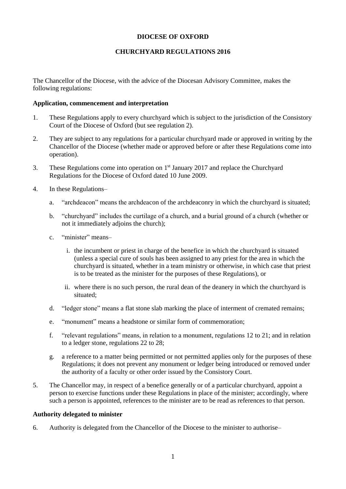# **DIOCESE OF OXFORD**

# **CHURCHYARD REGULATIONS 2016**

The Chancellor of the Diocese, with the advice of the Diocesan Advisory Committee, makes the following regulations:

#### **Application, commencement and interpretation**

- 1. These Regulations apply to every churchyard which is subject to the jurisdiction of the Consistory Court of the Diocese of Oxford (but see regulation 2).
- 2. They are subject to any regulations for a particular churchyard made or approved in writing by the Chancellor of the Diocese (whether made or approved before or after these Regulations come into operation).
- 3. These Regulations come into operation on  $1<sup>st</sup>$  January 2017 and replace the Churchyard Regulations for the Diocese of Oxford dated 10 June 2009.
- 4. In these Regulations–
	- a. "archdeacon" means the archdeacon of the archdeaconry in which the churchyard is situated;
	- b. "churchyard" includes the curtilage of a church, and a burial ground of a church (whether or not it immediately adjoins the church);
	- c. "minister" means–
		- i. the incumbent or priest in charge of the benefice in which the churchyard is situated (unless a special cure of souls has been assigned to any priest for the area in which the churchyard is situated, whether in a team ministry or otherwise, in which case that priest is to be treated as the minister for the purposes of these Regulations), or
		- ii. where there is no such person, the rural dean of the deanery in which the churchyard is situated;
	- d. "ledger stone" means a flat stone slab marking the place of interment of cremated remains;
	- e. "monument" means a headstone or similar form of commemoration;
	- f. "relevant regulations" means, in relation to a monument, regulations 12 to 21; and in relation to a ledger stone, regulations 22 to 28;
	- g. a reference to a matter being permitted or not permitted applies only for the purposes of these Regulations; it does not prevent any monument or ledger being introduced or removed under the authority of a faculty or other order issued by the Consistory Court.
- 5. The Chancellor may, in respect of a benefice generally or of a particular churchyard, appoint a person to exercise functions under these Regulations in place of the minister; accordingly, where such a person is appointed, references to the minister are to be read as references to that person.

#### **Authority delegated to minister**

6. Authority is delegated from the Chancellor of the Diocese to the minister to authorise–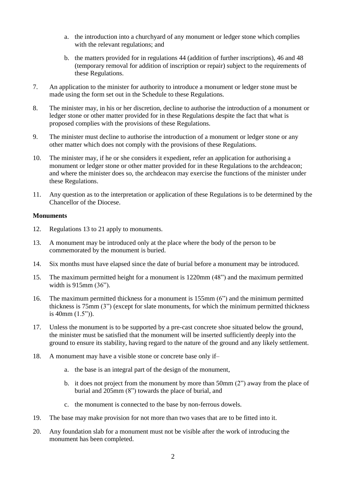- a. the introduction into a churchyard of any monument or ledger stone which complies with the relevant regulations; and
- b. the matters provided for in regulations 44 (addition of further inscriptions), 46 and 48 (temporary removal for addition of inscription or repair) subject to the requirements of these Regulations.
- 7. An application to the minister for authority to introduce a monument or ledger stone must be made using the form set out in the Schedule to these Regulations.
- 8. The minister may, in his or her discretion, decline to authorise the introduction of a monument or ledger stone or other matter provided for in these Regulations despite the fact that what is proposed complies with the provisions of these Regulations.
- 9. The minister must decline to authorise the introduction of a monument or ledger stone or any other matter which does not comply with the provisions of these Regulations.
- 10. The minister may, if he or she considers it expedient, refer an application for authorising a monument or ledger stone or other matter provided for in these Regulations to the archdeacon; and where the minister does so, the archdeacon may exercise the functions of the minister under these Regulations.
- 11. Any question as to the interpretation or application of these Regulations is to be determined by the Chancellor of the Diocese.

### **Monuments**

- 12. Regulations 13 to 21 apply to monuments.
- 13. A monument may be introduced only at the place where the body of the person to be commemorated by the monument is buried.
- 14. Six months must have elapsed since the date of burial before a monument may be introduced.
- 15. The maximum permitted height for a monument is 1220mm (48") and the maximum permitted width is 915mm (36").
- 16. The maximum permitted thickness for a monument is 155mm (6") and the minimum permitted thickness is 75mm (3") (except for slate monuments, for which the minimum permitted thickness is 40mm (1.5")).
- 17. Unless the monument is to be supported by a pre-cast concrete shoe situated below the ground, the minister must be satisfied that the monument will be inserted sufficiently deeply into the ground to ensure its stability, having regard to the nature of the ground and any likely settlement.
- 18. A monument may have a visible stone or concrete base only if–
	- a. the base is an integral part of the design of the monument,
	- b. it does not project from the monument by more than 50mm (2") away from the place of burial and 205mm (8") towards the place of burial, and
	- c. the monument is connected to the base by non-ferrous dowels.
- 19. The base may make provision for not more than two vases that are to be fitted into it.
- 20. Any foundation slab for a monument must not be visible after the work of introducing the monument has been completed.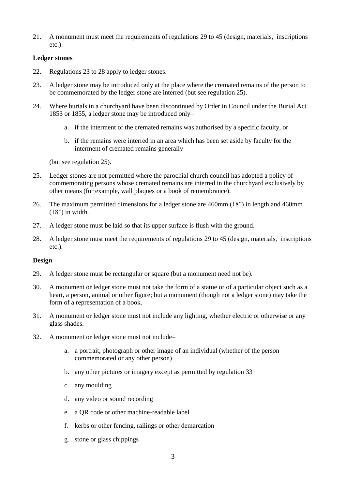21. A monument must meet the requirements of regulations 29 to 45 (design, materials, inscriptions etc.).

# **Ledger stones**

- 22. Regulations 23 to 28 apply to ledger stones.
- 23. A ledger stone may be introduced only at the place where the cremated remains of the person to be commemorated by the ledger stone are interred (but see regulation 25).
- 24. Where burials in a churchyard have been discontinued by Order in Council under the Burial Act 1853 or 1855, a ledger stone may be introduced only–
	- a. if the interment of the cremated remains was authorised by a specific faculty, or
	- b. if the remains were interred in an area which has been set aside by faculty for the interment of cremated remains generally

(but see regulation 25).

- 25. Ledger stones are not permitted where the parochial church council has adopted a policy of commemorating persons whose cremated remains are interred in the churchyard exclusively by other means (for example, wall plaques or a book of remembrance).
- 26. The maximum permitted dimensions for a ledger stone are 460mm (18") in length and 460mm  $(18")$  in width.
- 27. A ledger stone must be laid so that its upper surface is flush with the ground.
- 28. A ledger stone must meet the requirements of regulations 29 to 45 (design, materials, inscriptions etc.).

# **Design**

- 29. A ledger stone must be rectangular or square (but a monument need not be).
- 30. A monument or ledger stone must not take the form of a statue or of a particular object such as a heart, a person, animal or other figure; but a monument (though not a ledger stone) may take the form of a representation of a book.
- 31. A monument or ledger stone must not include any lighting, whether electric or otherwise or any glass shades.
- 32. A monument or ledger stone must not include–
	- a. a portrait, photograph or other image of an individual (whether of the person commemorated or any other person)
	- b. any other pictures or imagery except as permitted by regulation 33
	- c. any moulding
	- d. any video or sound recording
	- e. a QR code or other machine-readable label
	- f. kerbs or other fencing, railings or other demarcation
	- g. stone or glass chippings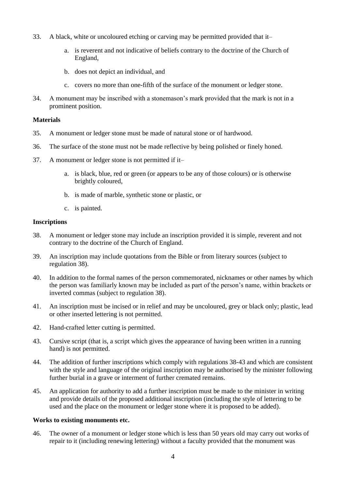- 33. A black, white or uncoloured etching or carving may be permitted provided that it–
	- a. is reverent and not indicative of beliefs contrary to the doctrine of the Church of England,
	- b. does not depict an individual, and
	- c. covers no more than one-fifth of the surface of the monument or ledger stone.
- 34. A monument may be inscribed with a stonemason's mark provided that the mark is not in a prominent position.

#### **Materials**

- 35. A monument or ledger stone must be made of natural stone or of hardwood.
- 36. The surface of the stone must not be made reflective by being polished or finely honed.
- 37. A monument or ledger stone is not permitted if it–
	- a. is black, blue, red or green (or appears to be any of those colours) or is otherwise brightly coloured,
	- b. is made of marble, synthetic stone or plastic, or
	- c. is painted.

#### **Inscriptions**

- 38. A monument or ledger stone may include an inscription provided it is simple, reverent and not contrary to the doctrine of the Church of England.
- 39. An inscription may include quotations from the Bible or from literary sources (subject to regulation 38).
- 40. In addition to the formal names of the person commemorated, nicknames or other names by which the person was familiarly known may be included as part of the person's name, within brackets or inverted commas (subject to regulation 38).
- 41. An inscription must be incised or in relief and may be uncoloured, grey or black only; plastic, lead or other inserted lettering is not permitted.
- 42. Hand-crafted letter cutting is permitted.
- 43. Cursive script (that is, a script which gives the appearance of having been written in a running hand) is not permitted.
- 44. The addition of further inscriptions which comply with regulations 38-43 and which are consistent with the style and language of the original inscription may be authorised by the minister following further burial in a grave or interment of further cremated remains.
- 45. An application for authority to add a further inscription must be made to the minister in writing and provide details of the proposed additional inscription (including the style of lettering to be used and the place on the monument or ledger stone where it is proposed to be added).

### **Works to existing monuments etc.**

46. The owner of a monument or ledger stone which is less than 50 years old may carry out works of repair to it (including renewing lettering) without a faculty provided that the monument was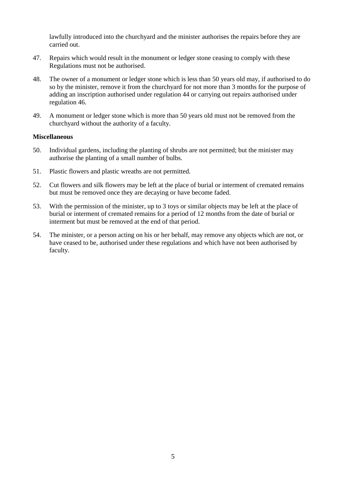lawfully introduced into the churchyard and the minister authorises the repairs before they are carried out.

- 47. Repairs which would result in the monument or ledger stone ceasing to comply with these Regulations must not be authorised.
- 48. The owner of a monument or ledger stone which is less than 50 years old may, if authorised to do so by the minister, remove it from the churchyard for not more than 3 months for the purpose of adding an inscription authorised under regulation 44 or carrying out repairs authorised under regulation 46.
- 49. A monument or ledger stone which is more than 50 years old must not be removed from the churchyard without the authority of a faculty.

### **Miscellaneous**

- 50. Individual gardens, including the planting of shrubs are not permitted; but the minister may authorise the planting of a small number of bulbs.
- 51. Plastic flowers and plastic wreaths are not permitted.
- 52. Cut flowers and silk flowers may be left at the place of burial or interment of cremated remains but must be removed once they are decaying or have become faded.
- 53. With the permission of the minister, up to 3 toys or similar objects may be left at the place of burial or interment of cremated remains for a period of 12 months from the date of burial or interment but must be removed at the end of that period.
- 54. The minister, or a person acting on his or her behalf, may remove any objects which are not, or have ceased to be, authorised under these regulations and which have not been authorised by faculty.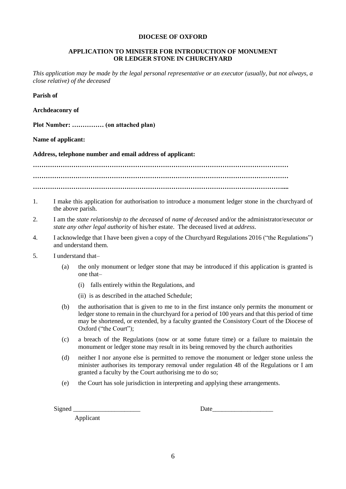#### **DIOCESE OF OXFORD**

### **APPLICATION TO MINISTER FOR INTRODUCTION OF MONUMENT OR LEDGER STONE IN CHURCHYARD**

*This application may be made by the legal personal representative or an executor (usually, but not always, a close relative) of the deceased*

**Parish of**

**Archdeaconry of**

**Plot Number: …………… (on attached plan)**

**Name of applicant:**

**Address, telephone number and email address of applicant:**

**………………………………………………………………………………………………………… ………………………………………………………………………………………………………… ………………………………………………………………………………………………………....**

- 1. I make this application for authorisation to introduce a monument ledger stone in the churchyard of the above parish.
- 2. I am the *state relationship to the deceased* of *name of deceased* and/or the administrator/executor *or state any other legal authority* of his/her estate. The deceased lived at *address*.
- 4. I acknowledge that I have been given a copy of the Churchyard Regulations 2016 ("the Regulations") and understand them.
- 5. I understand that–
	- (a) the only monument or ledger stone that may be introduced if this application is granted is one that–
		- (i) falls entirely within the Regulations, and
		- (ii) is as described in the attached Schedule;
	- (b) the authorisation that is given to me to in the first instance only permits the monument or ledger stone to remain in the churchyard for a period of 100 years and that this period of time may be shortened, or extended, by a faculty granted the Consistory Court of the Diocese of Oxford ("the Court");
	- (c) a breach of the Regulations (now or at some future time) or a failure to maintain the monument or ledger stone may result in its being removed by the church authorities
	- (d) neither I nor anyone else is permitted to remove the monument or ledger stone unless the minister authorises its temporary removal under regulation 48 of the Regulations or I am granted a faculty by the Court authorising me to do so;
	- (e) the Court has sole jurisdiction in interpreting and applying these arrangements.

Signed Date

Applicant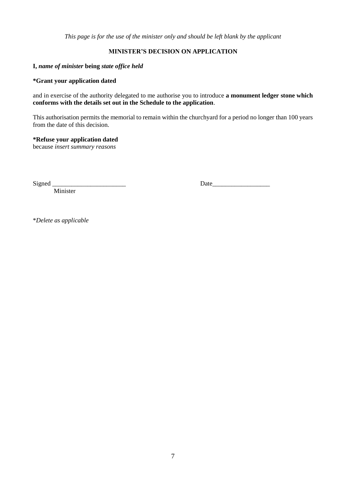*This page is for the use of the minister only and should be left blank by the applicant*

# **MINISTER'S DECISION ON APPLICATION**

# **I,** *name of minister* **being** *state office held*

# **\*Grant your application dated**

and in exercise of the authority delegated to me authorise you to introduce **a monument ledger stone which conforms with the details set out in the Schedule to the application**.

This authorisation permits the memorial to remain within the churchyard for a period no longer than 100 years from the date of this decision.

### **\*Refuse your application dated**

because *insert summary reasons*

**Minister** 

Signed Date

\**Delete as applicable*